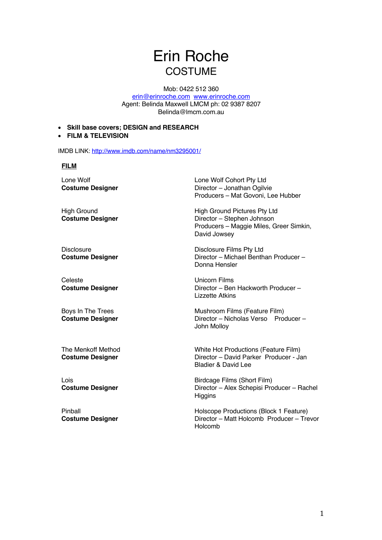# Erin Roche **COSTUME**

Mob: 0422 512 360

erin@erinroche.com www.erinroche.com Agent: Belinda Maxwell LMCM ph: 02 9387 8207 Belinda@lmcm.com.au

- **Skill base covers; DESIGN and RESEARCH**
- **FILM & TELEVISION**

IMDB LINK: http://www.imdb.com/name/nm3295001/

### **FILM**

Lone Wolf **Costume Designer**

**High Ground Costume Designer**

**Disclosure Costume Designer**

Celeste **Costume Designer**

Boys In The Trees **Costume Designer**

The Menkoff Method **Costume Designer**

Lois **Costume Designer**

Pinball **Costume Designer** Lone Wolf Cohort Pty Ltd Director – Jonathan Ogilvie Producers – Mat Govoni, Lee Hubber

High Ground Pictures Pty Ltd Director – Stephen Johnson Producers – Maggie Miles, Greer Simkin, David Jowsey

Disclosure Films Pty Ltd Director – Michael Benthan Producer – Donna Hensler

Unicorn Films Director – Ben Hackworth Producer – Lizzette Atkins

Mushroom Films (Feature Film) Director – Nicholas Verso Producer – John Molloy

White Hot Productions (Feature Film) Director – David Parker Producer - Jan Bladier & David Lee

Birdcage Films (Short Film) Director – Alex Schepisi Producer – Rachel **Higgins** 

Holscope Productions (Block 1 Feature) Director – Matt Holcomb Producer – Trevor Holcomb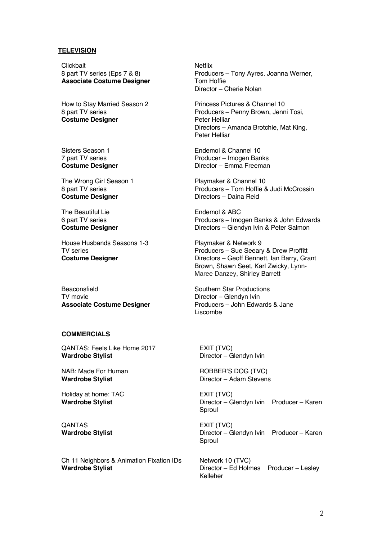#### **TELEVISION**

Clickbait 8 part TV series (Eps 7 & 8) **Associate Costume Designer**

How to Stay Married Season 2 8 part TV series **Costume Designer**

Sisters Season 1 7 part TV series **Costume Designer**

The Wrong Girl Season 1 8 part TV series **Costume Designer**

The Beautiful Lie 6 part TV series **Costume Designer**

House Husbands Seasons 1-3 TV series **Costume Designer**

Beaconsfield TV movie **Associate Costume Designer** 

## **COMMERCIALS**

QANTAS: Feels Like Home 2017 **Wardrobe Stylist**

NAB: Made For Human **Wardrobe Stylist**

Holiday at home: TAC **Wardrobe Stylist**

**QANTAS Wardrobe Stylist**

Ch 11 Neighbors & Animation Fixation IDs **Wardrobe Stylist**

Netflix Producers – Tony Ayres, Joanna Werner, Tom Hoffie Director – Cherie Nolan

Princess Pictures & Channel 10 Producers – Penny Brown, Jenni Tosi, Peter Helliar Directors – Amanda Brotchie, Mat King, Peter Helliar

Endemol & Channel 10 Producer – Imogen Banks Director – Emma Freeman

Playmaker & Channel 10 Producers – Tom Hoffie & Judi McCrossin Directors – Daina Reid

Endemol & ABC Producers – Imogen Banks & John Edwards Directors – Glendyn Ivin & Peter Salmon

Playmaker & Network 9 Producers – Sue Seeary & Drew Proffitt Directors – Geoff Bennett, Ian Barry, Grant Brown, Shawn Seet, Karl Zwicky, Lynn-Maree Danzey, Shirley Barrett

Southern Star Productions Director – Glendyn Ivin Producers – John Edwards & Jane Liscombe

EXIT (TVC) Director – Glendyn Ivin

ROBBER'S DOG (TVC) Director – Adam Stevens

EXIT (TVC) Director – Glendyn Ivin Producer – Karen Sproul

EXIT (TVC) Director – Glendyn Ivin Producer – Karen Sproul

Network 10 (TVC) Director – Ed Holmes Producer – Lesley Kelleher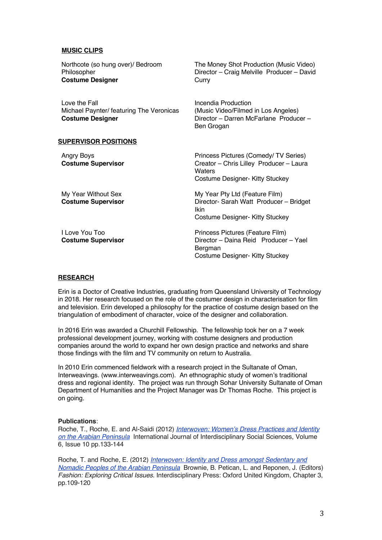### **MUSIC CLIPS**

| Northcote (so hung over)/ Bedroom<br>Philosopher<br><b>Costume Designer</b>          | The Money Shot Production (Music Video)<br>Director - Craig Melville Producer - David<br>Curry                               |
|--------------------------------------------------------------------------------------|------------------------------------------------------------------------------------------------------------------------------|
| Love the Fall<br>Michael Paynter/ featuring The Veronicas<br><b>Costume Designer</b> | Incendia Production<br>(Music Video/Filmed in Los Angeles)<br>Director - Darren McFarlane Producer -<br>Ben Grogan           |
| <b>SUPERVISOR POSITIONS</b>                                                          |                                                                                                                              |
| Angry Boys<br><b>Costume Supervisor</b>                                              | Princess Pictures (Comedy/TV Series)<br>Creator - Chris Lilley Producer - Laura<br>Waters<br>Costume Designer- Kitty Stuckey |
| My Year Without Sex<br><b>Costume Supervisor</b>                                     | My Year Pty Ltd (Feature Film)<br>Director- Sarah Watt Producer - Bridget<br><b>Ikin</b><br>Costume Designer- Kitty Stuckey  |
| LLove You Too<br><b>Costume Supervisor</b>                                           | Princess Pictures (Feature Film)<br>Director - Daina Reid Producer - Yael<br>Bergman<br>Costume Designer- Kitty Stuckey      |

## **RESEARCH**

Erin is a Doctor of Creative Industries, graduating from Queensland University of Technology in 2018. Her research focused on the role of the costumer design in characterisation for film and television. Erin developed a philosophy for the practice of costume design based on the triangulation of embodiment of character, voice of the designer and collaboration.

In 2016 Erin was awarded a Churchill Fellowship. The fellowship took her on a 7 week professional development journey, working with costume designers and production companies around the world to expand her own design practice and networks and share those findings with the film and TV community on return to Australia.

In 2010 Erin commenced fieldwork with a research project in the Sultanate of Oman, Interweavings. (www.interweavings.com). An ethnographic study of women's traditional dress and regional identity. The project was run through Sohar University Sultanate of Oman Department of Humanities and the Project Manager was Dr Thomas Roche. This project is on going.

#### **Publications**:

Roche, T., Roche, E. and Al-Saidi (2012) *Interwoven: Women's Dress Practices and Identity on the Arabian Peninsula* International Journal of Interdisciplinary Social Sciences, Volume 6, Issue 10 pp.133-144

Roche, T. and Roche, E. (2012) *Interwoven: Identity and Dress amongst Sedentary and Nomadic Peoples of the Arabian Peninsula* Brownie, B. Petican, L. and Reponen, J. (Editors) *Fashion: Exploring Critical Issues*. Interdisciplinary Press: Oxford United Kingdom, Chapter 3, pp.109-120